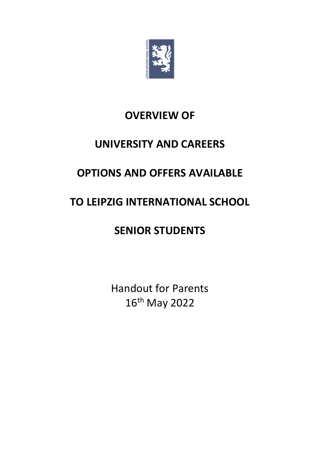

# **OVERVIEW OF**

# **UNIVERSITY AND CAREERS**

# **OPTIONS AND OFFERS AVAILABLE**

# **TO LEIPZIG INTERNATIONAL SCHOOL**

# **SENIOR STUDENTS**

Handout for Parents 16th May 2022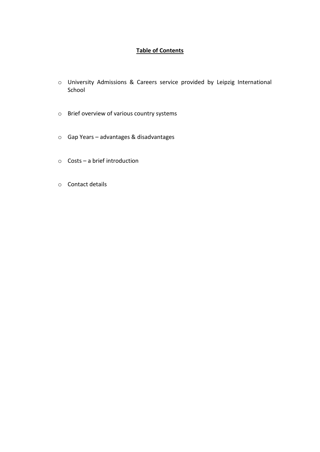# **Table of Contents**

- o University Admissions & Careers service provided by Leipzig International School
- o Brief overview of various country systems
- o Gap Years advantages & disadvantages
- o Costs a brief introduction
- o Contact details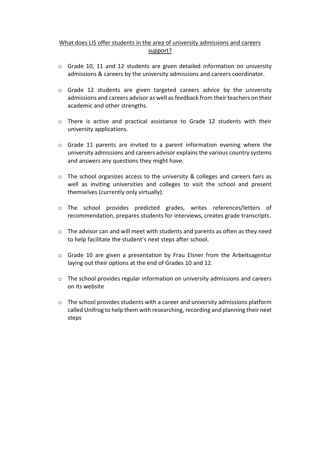# What does LIS offer students in the area of university admissions and careers support?

- o Grade 10, 11 and 12 students are given detailed information on university admissions & careers by the university admissions and careers coordinator.
- $\circ$  Grade 12 students are given targeted careers advice by the university admissions and careers advisor as well as feedback from their teachers on their academic and other strengths.
- o There is active and practical assistance to Grade 12 students with their university applications.
- $\circ$  Grade 11 parents are invited to a parent information evening where the university admissions and careers advisor explains the various country systems and answers any questions they might have.
- o The school organizes access to the university & colleges and careers fairs as well as inviting universities and colleges to visit the school and present themselves (currently only virtually).
- o The school provides predicted grades, writes references/letters of recommendation, prepares students for interviews, creates grade transcripts.
- o The advisor can and will meet with students and parents as often as they need to help facilitate the student's next steps after school.
- o Grade 10 are given a presentation by Frau Elsner from the Arbeitsagentur laying out their options at the end of Grades 10 and 12.
- $\circ$  The school provides regular information on university admissions and careers on its website
- o The school provides students with a career and university admissions platform called Unifrog to help them with researching, recording and planning their next steps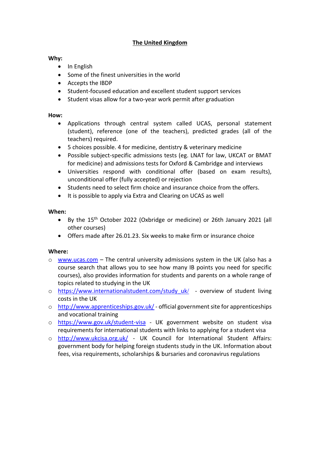# **The United Kingdom**

#### **Why:**

- In English
- Some of the finest universities in the world
- Accepts the IBDP
- Student-focused education and excellent student support services
- Student visas allow for a two-year work permit after graduation

#### **How:**

- Applications through central system called UCAS, personal statement (student), reference (one of the teachers), predicted grades (all of the teachers) required.
- 5 choices possible. 4 for medicine, dentistry & veterinary medicine
- Possible subject-specific admissions tests (eg. LNAT for law, UKCAT or BMAT for medicine) and admissions tests for Oxford & Cambridge and interviews
- Universities respond with conditional offer (based on exam results), unconditional offer (fully accepted) or rejection
- Students need to select firm choice and insurance choice from the offers.
- It is possible to apply via Extra and Clearing on UCAS as well

#### **When:**

- By the 15 th October 2022 (Oxbridge or medicine) or 26th January 2021 (all other courses)
- Offers made after 26.01.23. Six weeks to make firm or insurance choice

- $\circ$  [www.ucas.com](http://www.ucas.com/) The central university admissions system in the UK (also has a course search that allows you to see how many IB points you need for specific courses), also provides information for students and parents on a whole range of topics related to studying in the UK
- o [https://www.internationalstudent.com/study\\_uk](https://www.internationalstudent.com/study_uk/)[/](https://www.internationalstudent.com/study_uk/) overview of student living costs in the UK
- o <http://www.apprenticeships.gov.uk/> official government site for apprenticeships and vocational training
- o <https://www.gov.uk/student-visa> UK government website on student visa requirements for international students with links to applying for a student visa
- o <http://www.ukcisa.org.uk/> UK Council for International Student Affairs: government body for helping foreign students study in the UK. Information about fees, visa requirements, scholarships & bursaries and coronavirus regulations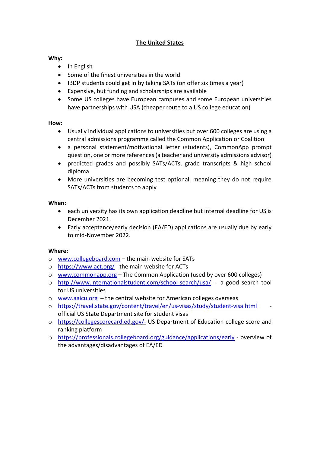# **The United States**

### **Why:**

- In English
- Some of the finest universities in the world
- IBDP students could get in by taking SATs (on offer six times a year)
- Expensive, but funding and scholarships are available
- Some US colleges have European campuses and some European universities have partnerships with USA (cheaper route to a US college education)

#### **How:**

- Usually individual applications to universities but over 600 colleges are using a central admissions programme called the Common Application or Coalition
- a personal statement/motivational letter (students), CommonApp prompt question, one or more references (a teacher and university admissions advisor)
- predicted grades and possibly SATs/ACTs, grade transcripts & high school diploma
- More universities are becoming test optional, meaning they do not require SATs/ACTs from students to apply

#### **When:**

- each university has its own application deadline but internal deadline for US is December 2021.
- Early acceptance/early decision (EA/ED) applications are usually due by early to mid-November 2022.

- o [www.collegeboard.com](http://www.collegeboard.com/) the main website for SATs
- o <https://www.act.org/> the main website for ACTs
- o [www.commonapp.org](http://www.commonapp.org/) The Common Application (used by over 600 colleges)
- o <http://www.internationalstudent.com/school-search/usa/> a good search tool for US universities
- o [www.aaicu.org](http://www.aaicu.org/) the central website for American colleges overseas
- o <https://travel.state.gov/content/travel/en/us-visas/study/student-visa.html> official US State Department site for student visas
- o <https://collegescorecard.ed.gov/-> US Department of Education college score and ranking platform
- o <https://professionals.collegeboard.org/guidance/applications/early> overview of the advantages/disadvantages of EA/ED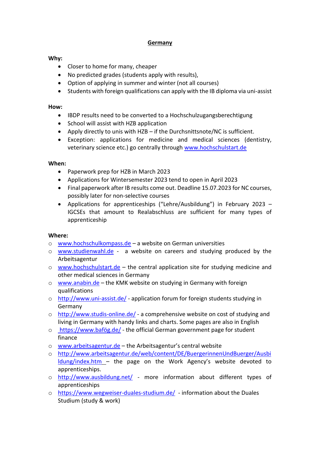# **Germany**

### **Why:**

- Closer to home for many, cheaper
- No predicted grades (students apply with results),
- Option of applying in summer and winter (not all courses)
- Students with foreign qualifications can apply with the IB diploma via uni-assist

#### **How:**

- IBDP results need to be converted to a Hochschulzugangsberechtigung
- School will assist with HZB application
- Apply directly to unis with HZB if the Durchsnittsnote/NC is sufficient.
- Exception: applications for medicine and medical sciences (dentistry, veterinary science etc.) go centrally through [www.hochschulstart.de](http://www.hochschulstart.de/)

#### **When:**

- Paperwork prep for HZB in March 2023
- Applications for Wintersemester 2023 tend to open in April 2023
- Final paperwork after IB results come out. Deadline 15.07.2023 for NC courses, possibly later for non-selective courses
- Applications for apprenticeships ("Lehre/Ausbildung") in February 2023 IGCSEs that amount to Realabschluss are sufficient for many types of apprenticeship

- o [www.hochschulkompass.de](http://www.hochschulkompass.de/) a website on German universities
- o **[www.studienwahl.de](http://www.studienwahl.de/)** a website on careers and studying produced by the Arbeitsagentur
- $\circ$  [www.hochschulstart.de](http://www.hochschulstart.de/) the central application site for studying medicine and other medical sciences in Germany
- $\circ$  [www.anabin.de](http://www.anabin.de/) the KMK website on studying in Germany with foreign qualifications
- o <http://www.uni-assist.de/> application forum for foreign students studying in Germany
- o <http://www.studis-online.de/> a comprehensive website on cost of studying and living in Germany with handy links and charts. Some pages are also in English
- $\circ$  <https://www.bafög.de/> the official German government page for student finance
- o [www.arbeitsagentur.de](http://www.arbeitsagentur.de/) the Arbeitsagentur's central website
- o [http://www.arbeitsagentur.de/web/content/DE/BuergerinnenUndBuerger/Ausbi](http://www.arbeitsagentur.de/web/content/DE/BuergerinnenUndBuerger/Ausbildung/index.htm) [ldung/index.htm](http://www.arbeitsagentur.de/web/content/DE/BuergerinnenUndBuerger/Ausbildung/index.htm) – the page on the Work Agency's website devoted to apprenticeships.
- o <http://www.ausbildung.net/> more information about different types of apprenticeships
- o <https://www.wegweiser-duales-studium.de/> information about the Duales Studium (study & work)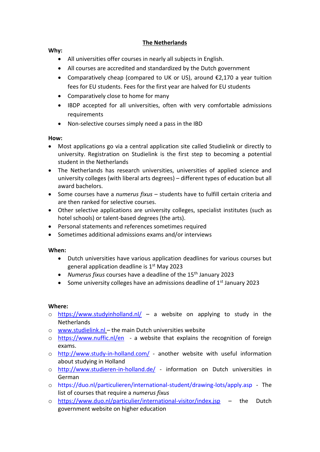# **The Netherlands**

#### **Why:**

- All universities offer courses in nearly all subjects in English.
- All courses are accredited and standardized by the Dutch government
- Comparatively cheap (compared to UK or US), around €2,170 a year tuition fees for EU students. Fees for the first year are halved for EU students
- Comparatively close to home for many
- IBDP accepted for all universities, often with very comfortable admissions requirements
- Non-selective courses simply need a pass in the IBD

#### **How:**

- Most applications go via a central application site called Studielink or directly to university. Registration on Studielink is the first step to becoming a potential student in the Netherlands
- The Netherlands has research universities, universities of applied science and university colleges (with liberal arts degrees) – different types of education but all award bachelors.
- Some courses have a *numerus fixus* students have to fulfill certain criteria and are then ranked for selective courses.
- Other selective applications are university colleges, specialist institutes (such as hotel schools) or talent-based degrees (the arts).
- Personal statements and references sometimes required
- Sometimes additional admissions exams and/or interviews

#### **When:**

- Dutch universities have various application deadlines for various courses but general application deadline is 1<sup>st</sup> May 2023
- *Numerus fixus* courses have a deadline of the 15<sup>th</sup> January 2023
- Some university colleges have an admissions deadline of  $1<sup>st</sup>$  January 2023

- $\circ$  <https://www.studyinholland.nl/> a website on applying to study in the Netherlands
- o [www.studielink.nl](http://www.studielink.nl/) the main Dutch universities website
- o <https://www.nuffic.nl/en> a website that explains the recognition of foreign exams.
- o <http://www.study-in-holland.com/> another website with useful information about studying in Holland
- o <http://www.studieren-in-holland.de/> information on Dutch universities in German
- o <https://duo.nl/particulieren/international-student/drawing-lots/apply.asp> The list of courses that require a *numerus fixus*
- o <https://www.duo.nl/particulier/international-visitor/index.jsp> the Dutch government website on higher education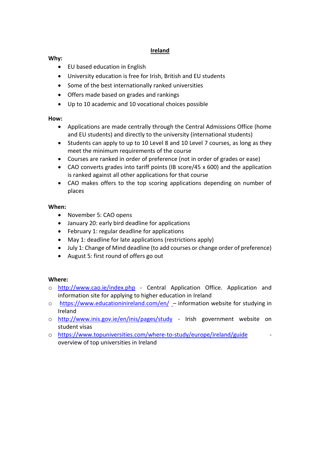### **Ireland**

#### **Why:**

- EU based education in English
- University education is free for Irish, British and EU students
- Some of the best internationally ranked universities
- Offers made based on grades and rankings
- Up to 10 academic and 10 vocational choices possible

#### **How:**

- Applications are made centrally through the Central Admissions Office (home and EU students) and directly to the university (international students)
- Students can apply to up to 10 Level 8 and 10 Level 7 courses, as long as they meet the minimum requirements of the course
- Courses are ranked in order of preference (not in order of grades or ease)
- CAO converts grades into tariff points (IB score/45 x 600) and the application is ranked against all other applications for that course
- CAO makes offers to the top scoring applications depending on number of places

#### **When:**

- November 5: CAO opens
- January 20: early bird deadline for applications
- February 1: regular deadline for applications
- May 1: deadline for late applications (restrictions apply)
- July 1: Change of Mind deadline (to add courses or change order of preference)
- August 5: first round of offers go out

- o <http://www.cao.ie/index.php> Central Application Office. Application and information site for applying to higher education in Ireland
- o <https://www.educationinireland.com/en/> information website for studying in Ireland
- o <http://www.inis.gov.ie/en/inis/pages/study> Irish government website on student visas
- o <https://www.topuniversities.com/where-to-study/europe/ireland/guide> overview of top universities in Ireland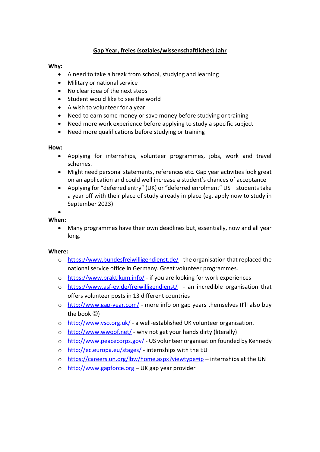# **Gap Year, freies (soziales/wissenschaftliches) Jahr**

#### **Why:**

- A need to take a break from school, studying and learning
- Military or national service
- No clear idea of the next steps
- Student would like to see the world
- A wish to volunteer for a year
- Need to earn some money or save money before studying or training
- Need more work experience before applying to study a specific subject
- Need more qualifications before studying or training

#### **How:**

- Applying for internships, volunteer programmes, jobs, work and travel schemes.
- Might need personal statements, references etc. Gap year activities look great on an application and could well increase a student's chances of acceptance
- Applying for "deferred entry" (UK) or "deferred enrolment" US students take a year off with their place of study already in place (eg. apply now to study in September 2023)

# •

# **When:**

• Many programmes have their own deadlines but, essentially, now and all year long.

- o <https://www.bundesfreiwilligendienst.de/> the organisation that replaced the national service office in Germany. Great volunteer programmes.
- o <https://www.praktikum.info/> if you are looking for work experiences
- o <https://www.asf-ev.de/freiwilligendienst/> an incredible organisation that offers volunteer posts in 13 different countries
- o <http://www.gap-year.com/> more info on gap years themselves (I'll also buy the book ☺)
- o <http://www.vso.org.uk/> a well-established UK volunteer organisation.
- o <http://www.wwoof.net/> why not get your hands dirty (literally)
- o <http://www.peacecorps.gov/> US volunteer organisation founded by Kennedy
- o <http://ec.europa.eu/stages/> internships with the EU
- o <https://careers.un.org/lbw/home.aspx?viewtype=ip> internships at the UN
- o [http://www.gapforce.org](http://www.gapforce.org/) UK gap year provider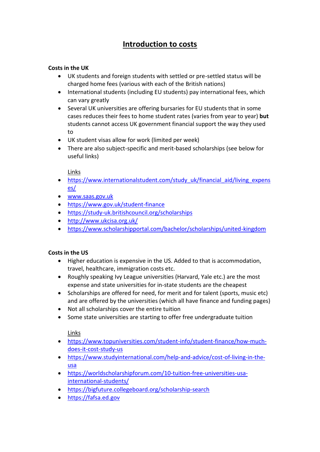# **Introduction to costs**

# **Costs in the UK**

- UK students and foreign students with settled or pre-settled status will be charged home fees (various with each of the British nations)
- International students (including EU students) pay international fees, which can vary greatly
- Several UK universities are offering bursaries for EU students that in some cases reduces their fees to home student rates (varies from year to year) **but** students cannot access UK government financial support the way they used to
- UK student visas allow for work (limited per week)
- There are also subject-specific and merit-based scholarships (see below for useful links)

Links

- [https://www.internationalstudent.com/study\\_uk/financial\\_aid/living\\_expens](https://www.internationalstudent.com/study_uk/financial_aid/living_expenses/) [es/](https://www.internationalstudent.com/study_uk/financial_aid/living_expenses/)
- [www.saas.gov.uk](http://www.saas.gov.uk/)
- <https://www.gov.uk/student-finance>
- <https://study-uk.britishcouncil.org/scholarships>
- <http://www.ukcisa.org.uk/>
- <https://www.scholarshipportal.com/bachelor/scholarships/united-kingdom>

# **Costs in the US**

- Higher education is expensive in the US. Added to that is accommodation, travel, healthcare, immigration costs etc.
- Roughly speaking Ivy League universities (Harvard, Yale etc.) are the most expense and state universities for in-state students are the cheapest
- Scholarships are offered for need, for merit and for talent (sports, music etc) and are offered by the universities (which all have finance and funding pages)
- Not all scholarships cover the entire tuition
- Some state universities are starting to offer free undergraduate tuition

Links

- [https://www.topuniversities.com/student-info/student-finance/how-much](https://www.topuniversities.com/student-info/student-finance/how-much-does-it-cost-study-us)[does-it-cost-study-us](https://www.topuniversities.com/student-info/student-finance/how-much-does-it-cost-study-us)
- [https://www.studyinternational.com/help-and-advice/cost-of-living-in-the](https://www.studyinternational.com/help-and-advice/cost-of-living-in-the-usa)[usa](https://www.studyinternational.com/help-and-advice/cost-of-living-in-the-usa)
- [https://worldscholarshipforum.com/10-tuition-free-universities-usa](https://worldscholarshipforum.com/10-tuition-free-universities-usa-international-students/)[international-students/](https://worldscholarshipforum.com/10-tuition-free-universities-usa-international-students/)
- <https://bigfuture.collegeboard.org/scholarship-search>
- [https://fafsa.ed.gov](https://fafsa.ed.gov/)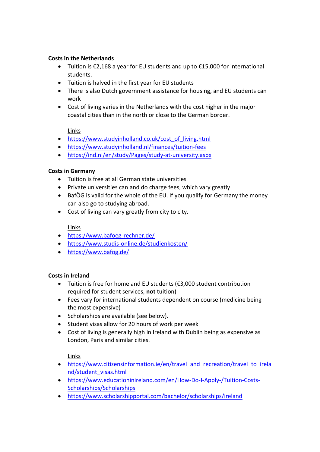# **Costs in the Netherlands**

- Tuition is €2,168 a year for EU students and up to €15,000 for international students.
- Tuition is halved in the first year for EU students
- There is also Dutch government assistance for housing, and EU students can work
- Cost of living varies in the Netherlands with the cost higher in the major coastal cities than in the north or close to the German border.

#### Links

- [https://www.studyinholland.co.uk/cost\\_of\\_living.html](https://www.studyinholland.co.uk/cost_of_living.html)
- <https://www.studyinholland.nl/finances/tuition-fees>
- <https://ind.nl/en/study/Pages/study-at-university.aspx>

#### **Costs in Germany**

- Tuition is free at all German state universities
- Private universities can and do charge fees, which vary greatly
- BafÖG is valid for the whole of the EU. If you qualify for Germany the money can also go to studying abroad.
- Cost of living can vary greatly from city to city.

# Links

- <https://www.bafoeg-rechner.de/>
- <https://www.studis-online.de/studienkosten/>
- <https://www.bafög.de/>

# **Costs in Ireland**

- Tuition is free for home and EU students (€3,000 student contribution required for student services, **not** tuition)
- Fees vary for international students dependent on course (medicine being the most expensive)
- Scholarships are available (see below).
- Student visas allow for 20 hours of work per week
- Cost of living is generally high in Ireland with Dublin being as expensive as London, Paris and similar cities.

# Links

- [https://www.citizensinformation.ie/en/travel\\_and\\_recreation/travel\\_to\\_irela](https://www.citizensinformation.ie/en/travel_and_recreation/travel_to_ireland/student_visas.html) [nd/student\\_visas.html](https://www.citizensinformation.ie/en/travel_and_recreation/travel_to_ireland/student_visas.html)
- [https://www.educationinireland.com/en/How-Do-I-Apply-/Tuition-Costs-](https://www.educationinireland.com/en/How-Do-I-Apply-/Tuition-Costs-Scholarships/Scholarships)[Scholarships/Scholarships](https://www.educationinireland.com/en/How-Do-I-Apply-/Tuition-Costs-Scholarships/Scholarships)
- <https://www.scholarshipportal.com/bachelor/scholarships/ireland>